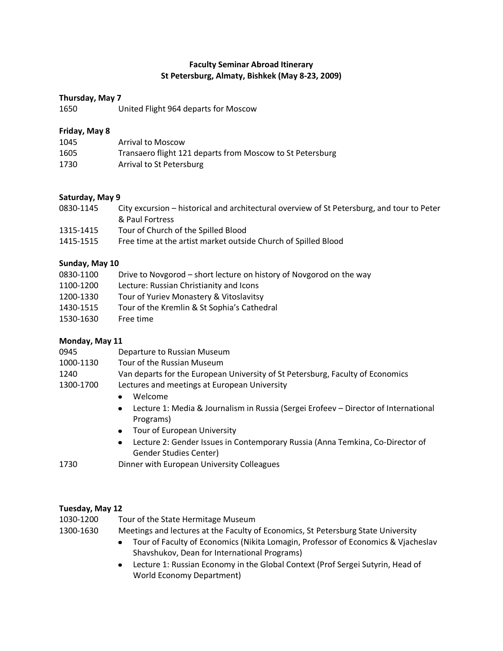## **Faculty Seminar Abroad Itinerary St Petersburg, Almaty, Bishkek (May 8-23, 2009)**

### **Thursday, May 7**

1650 United Flight 964 departs for Moscow

## **Friday, May 8**

| 1045 | <b>Arrival to Moscow</b>                                  |
|------|-----------------------------------------------------------|
| 1605 | Transaero flight 121 departs from Moscow to St Petersburg |
| 1730 | Arrival to St Petersburg                                  |
|      |                                                           |

## **Saturday, May 9**

| 0830-1145 | City excursion – historical and architectural overview of St Petersburg, and tour to Peter |
|-----------|--------------------------------------------------------------------------------------------|
|           | & Paul Fortress                                                                            |
| 1315-1415 | Tour of Church of the Spilled Blood                                                        |

1415-1515 Free time at the artist market outside Church of Spilled Blood

## **Sunday, May 10**

| 0830-1100 | Drive to Novgorod – short lecture on history of Novgorod on the way |
|-----------|---------------------------------------------------------------------|
| 1100-1200 | Lecture: Russian Christianity and Icons                             |
| 1200-1330 | Tour of Yuriev Monastery & Vitoslavitsy                             |
| 1430-1515 | Tour of the Kremlin & St Sophia's Cathedral                         |
| 1530-1630 | Free time                                                           |

### **Monday, May 11**

| 0945 | Departure to Russian Museum |
|------|-----------------------------|
|------|-----------------------------|

- 1000-1130 Tour of the Russian Museum
- 1240 Van departs for the European University of St Petersburg, Faculty of Economics
- 1300-1700 Lectures and meetings at European University
	- Welcome
	- Lecture 1: Media & Journalism in Russia (Sergei Erofeev Director of International Programs)
	- Tour of European University
	- Lecture 2: Gender Issues in Contemporary Russia (Anna Temkina, Co-Director of Gender Studies Center)
- 1730 Dinner with European University Colleagues

## **Tuesday, May 12**

- 1030-1200 Tour of the State Hermitage Museum
- 1300-1630 Meetings and lectures at the Faculty of Economics, St Petersburg State University
	- Tour of Faculty of Economics (Nikita Lomagin, Professor of Economics & Vjacheslav Shavshukov, Dean for International Programs)
	- $\bullet$ Lecture 1: Russian Economy in the Global Context (Prof Sergei Sutyrin, Head of World Economy Department)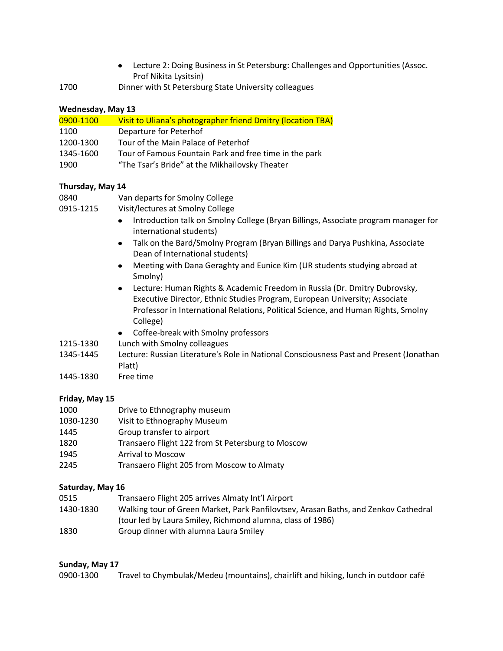- Lecture 2: Doing Business in St Petersburg: Challenges and Opportunities (Assoc. Prof Nikita Lysitsin)
- 1700 Dinner with St Petersburg State University colleagues

### **Wednesday, May 13**

| 0900-1100 | Visit to Uliana's photographer friend Dmitry (location TBA) |
|-----------|-------------------------------------------------------------|
| 1100      | Departure for Peterhof                                      |
| 1200-1300 | Tour of the Main Palace of Peterhof                         |
| 1345-1600 | Tour of Famous Fountain Park and free time in the park      |
| 1900      | "The Tsar's Bride" at the Mikhailovsky Theater              |

## **Thursday, May 14**

| 0840  | Van departs for Smolny College |  |
|-------|--------------------------------|--|
| - - - |                                |  |

- 0915-1215 Visit/lectures at Smolny College
	- Introduction talk on Smolny College (Bryan Billings, Associate program manager for  $\bullet$ international students)
	- Talk on the Bard/Smolny Program (Bryan Billings and Darya Pushkina, Associate Dean of International students)
	- Meeting with Dana Geraghty and Eunice Kim (UR students studying abroad at  $\bullet$ Smolny)
	- Lecture: Human Rights & Academic Freedom in Russia (Dr. Dmitry Dubrovsky, Executive Director, Ethnic Studies Program, European University; Associate Professor in International Relations, Political Science, and Human Rights, Smolny College)
	- Coffee-break with Smolny professors  $\bullet$
- 1215-1330 Lunch with Smolny colleagues
- 1345-1445 Lecture: Russian Literature's Role in National Consciousness Past and Present (Jonathan Platt)
- 1445-1830 Free time

## **Friday, May 15**

|  | 1000 | Drive to Ethnography museum |
|--|------|-----------------------------|
|--|------|-----------------------------|

- 1030-1230 Visit to Ethnography Museum
- 1445 Group transfer to airport
- 1820 Transaero Flight 122 from St Petersburg to Moscow
- 1945 Arrival to Moscow
- 2245 Transaero Flight 205 from Moscow to Almaty

### **Saturday, May 16**

- 0515 Transaero Flight 205 arrives Almaty Int'l Airport
- 1430-1830 Walking tour of Green Market, Park Panfilovtsev, Arasan Baths, and Zenkov Cathedral (tour led by Laura Smiley, Richmond alumna, class of 1986)
- 1830 Group dinner with alumna Laura Smiley

## **Sunday, May 17**

0900-1300 Travel to Chymbulak/Medeu (mountains), chairlift and hiking, lunch in outdoor café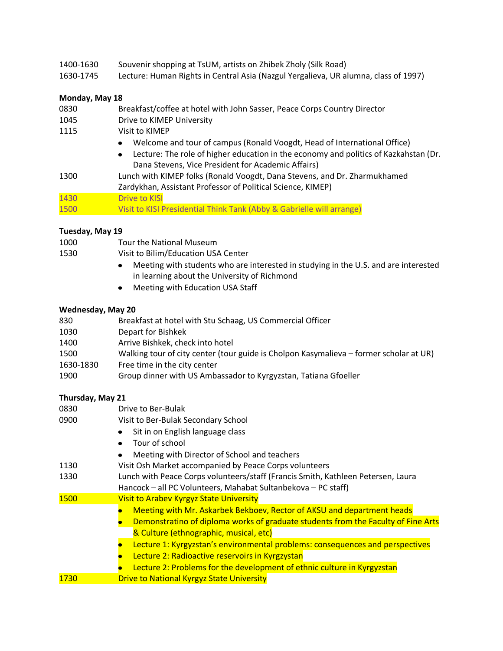| 1400-1630 | Souvenir shopping at TsUM, artists on Zhibek Zholy (Silk Road)                      |
|-----------|-------------------------------------------------------------------------------------|
| 1630-1745 | Lecture: Human Rights in Central Asia (Nazgul Yergalieva, UR alumna, class of 1997) |

### **Monday, May 18**

| 0830 | Breakfast/coffee at hotel with John Sasser, Peace Corps Country Director                          |
|------|---------------------------------------------------------------------------------------------------|
| 1045 | Drive to KIMEP University                                                                         |
| 1115 | Visit to KIMEP                                                                                    |
|      | Welcome and tour of campus (Ronald Voogdt, Head of International Office)<br>$\bullet$             |
|      | Lecture: The role of higher education in the economy and politics of Kazkahstan (Dr.<br>$\bullet$ |
|      | Dana Stevens, Vice President for Academic Affairs)                                                |
| 1300 | Lunch with KIMEP folks (Ronald Voogdt, Dana Stevens, and Dr. Zharmukhamed                         |
|      | Zardykhan, Assistant Professor of Political Science, KIMEP)                                       |
| 1430 | <b>Drive to KISI</b>                                                                              |
| 1500 | Visit to KISI Presidential Think Tank (Abby & Gabrielle will arrange)                             |

# **Tuesday, May 19**

| Tour the National Museum<br>1000 |
|----------------------------------|
|----------------------------------|

- 1530 Visit to Bilim/Education USA Center
	- Meeting with students who are interested in studying in the U.S. and are interested in learning about the University of Richmond
	- Meeting with Education USA Staff

### **Wednesday, May 20**

| 830       | Breakfast at hotel with Stu Schaag, US Commercial Officer                              |
|-----------|----------------------------------------------------------------------------------------|
| 1030      | Depart for Bishkek                                                                     |
| 1400      | Arrive Bishkek, check into hotel                                                       |
| 1500      | Walking tour of city center (tour guide is Cholpon Kasymalieva – former scholar at UR) |
| 1630-1830 | Free time in the city center                                                           |
| 1900      | Group dinner with US Ambassador to Kyrgyzstan, Tatiana Gfoeller                        |

## **Thursday, May 21**

| 0830        | Drive to Ber-Bulak                                                                |
|-------------|-----------------------------------------------------------------------------------|
| 0900        | Visit to Ber-Bulak Secondary School                                               |
|             | Sit in on English language class                                                  |
|             | Tour of school                                                                    |
|             | Meeting with Director of School and teachers<br>٠                                 |
| 1130        | Visit Osh Market accompanied by Peace Corps volunteers                            |
| 1330        | Lunch with Peace Corps volunteers/staff (Francis Smith, Kathleen Petersen, Laura  |
|             | Hancock - all PC Volunteers, Mahabat Sultanbekova - PC staff)                     |
| <b>1500</b> | <b>Visit to Arabev Kyrgyz State University</b>                                    |
|             | Meeting with Mr. Askarbek Bekboev, Rector of AKSU and department heads            |
|             | Demonstratino of diploma works of graduate students from the Faculty of Fine Arts |
|             | & Culture (ethnographic, musical, etc)                                            |
|             | Lecture 1: Kyrgyzstan's environmental problems: consequences and perspectives     |
|             | Lecture 2: Radioactive reservoirs in Kyrgzystan                                   |
|             | Lecture 2: Problems for the development of ethnic culture in Kyrgyzstan           |
| <b>1730</b> | <b>Drive to National Kyrgyz State University</b>                                  |